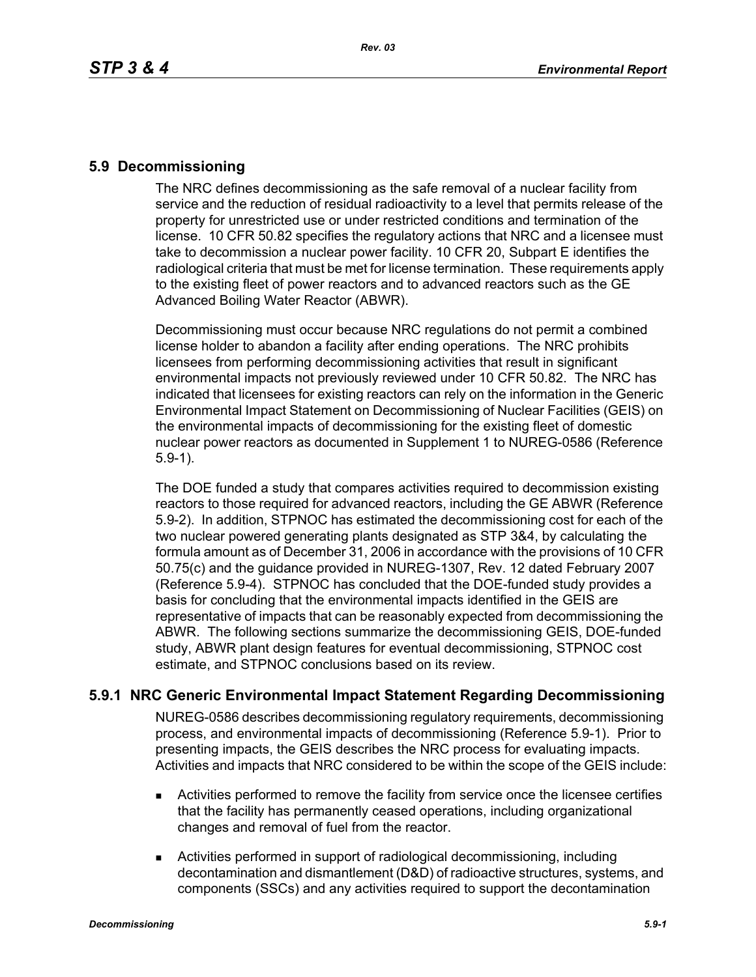#### **5.9 Decommissioning**

The NRC defines decommissioning as the safe removal of a nuclear facility from service and the reduction of residual radioactivity to a level that permits release of the property for unrestricted use or under restricted conditions and termination of the license. 10 CFR 50.82 specifies the regulatory actions that NRC and a licensee must take to decommission a nuclear power facility. 10 CFR 20, Subpart E identifies the radiological criteria that must be met for license termination. These requirements apply to the existing fleet of power reactors and to advanced reactors such as the GE Advanced Boiling Water Reactor (ABWR).

Decommissioning must occur because NRC regulations do not permit a combined license holder to abandon a facility after ending operations. The NRC prohibits licensees from performing decommissioning activities that result in significant environmental impacts not previously reviewed under 10 CFR 50.82. The NRC has indicated that licensees for existing reactors can rely on the information in the Generic Environmental Impact Statement on Decommissioning of Nuclear Facilities (GEIS) on the environmental impacts of decommissioning for the existing fleet of domestic nuclear power reactors as documented in Supplement 1 to NUREG-0586 (Reference 5.9-1).

The DOE funded a study that compares activities required to decommission existing reactors to those required for advanced reactors, including the GE ABWR (Reference 5.9-2). In addition, STPNOC has estimated the decommissioning cost for each of the two nuclear powered generating plants designated as STP 3&4, by calculating the formula amount as of December 31, 2006 in accordance with the provisions of 10 CFR 50.75(c) and the guidance provided in NUREG-1307, Rev. 12 dated February 2007 (Reference 5.9-4). STPNOC has concluded that the DOE-funded study provides a basis for concluding that the environmental impacts identified in the GEIS are representative of impacts that can be reasonably expected from decommissioning the ABWR. The following sections summarize the decommissioning GEIS, DOE-funded study, ABWR plant design features for eventual decommissioning, STPNOC cost estimate, and STPNOC conclusions based on its review.

# **5.9.1 NRC Generic Environmental Impact Statement Regarding Decommissioning**

NUREG-0586 describes decommissioning regulatory requirements, decommissioning process, and environmental impacts of decommissioning (Reference 5.9-1). Prior to presenting impacts, the GEIS describes the NRC process for evaluating impacts. Activities and impacts that NRC considered to be within the scope of the GEIS include:

- Activities performed to remove the facility from service once the licensee certifies that the facility has permanently ceased operations, including organizational changes and removal of fuel from the reactor.
- Activities performed in support of radiological decommissioning, including decontamination and dismantlement (D&D) of radioactive structures, systems, and components (SSCs) and any activities required to support the decontamination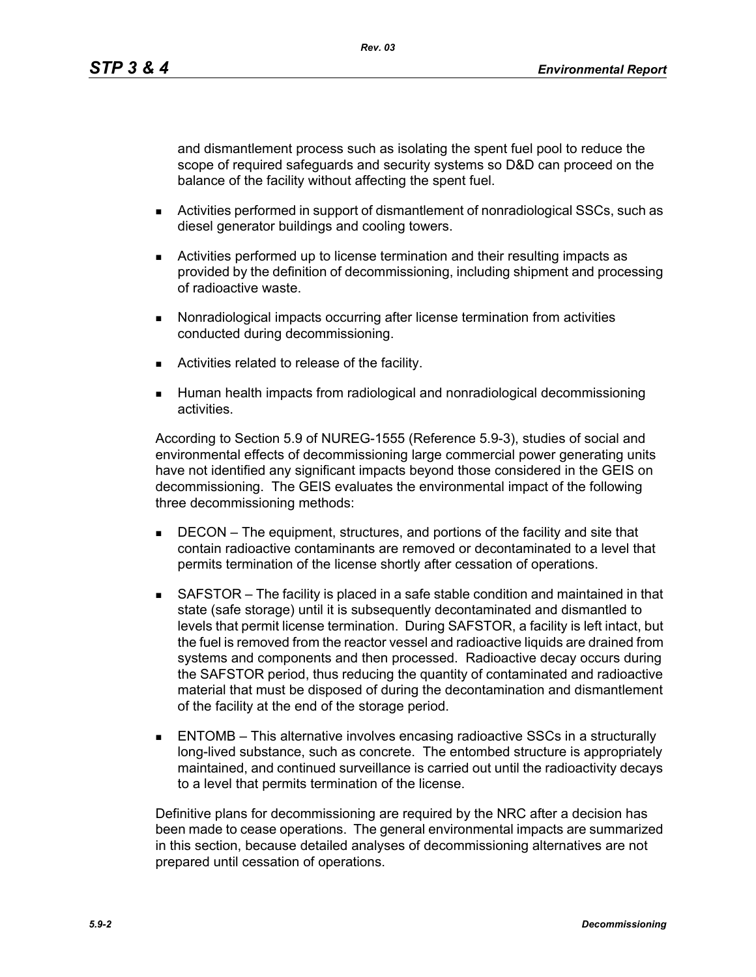and dismantlement process such as isolating the spent fuel pool to reduce the scope of required safeguards and security systems so D&D can proceed on the balance of the facility without affecting the spent fuel.

- **EXECT:** Activities performed in support of dismantlement of nonradiological SSCs, such as diesel generator buildings and cooling towers.
- Activities performed up to license termination and their resulting impacts as provided by the definition of decommissioning, including shipment and processing of radioactive waste.
- Nonradiological impacts occurring after license termination from activities conducted during decommissioning.
- Activities related to release of the facility.
- **Human health impacts from radiological and nonradiological decommissioning** activities.

According to Section 5.9 of NUREG-1555 (Reference 5.9-3), studies of social and environmental effects of decommissioning large commercial power generating units have not identified any significant impacts beyond those considered in the GEIS on decommissioning. The GEIS evaluates the environmental impact of the following three decommissioning methods:

- **DECON** The equipment, structures, and portions of the facility and site that contain radioactive contaminants are removed or decontaminated to a level that permits termination of the license shortly after cessation of operations.
- SAFSTOR The facility is placed in a safe stable condition and maintained in that state (safe storage) until it is subsequently decontaminated and dismantled to levels that permit license termination. During SAFSTOR, a facility is left intact, but the fuel is removed from the reactor vessel and radioactive liquids are drained from systems and components and then processed. Radioactive decay occurs during the SAFSTOR period, thus reducing the quantity of contaminated and radioactive material that must be disposed of during the decontamination and dismantlement of the facility at the end of the storage period.
- ENTOMB This alternative involves encasing radioactive SSCs in a structurally long-lived substance, such as concrete. The entombed structure is appropriately maintained, and continued surveillance is carried out until the radioactivity decays to a level that permits termination of the license.

Definitive plans for decommissioning are required by the NRC after a decision has been made to cease operations. The general environmental impacts are summarized in this section, because detailed analyses of decommissioning alternatives are not prepared until cessation of operations.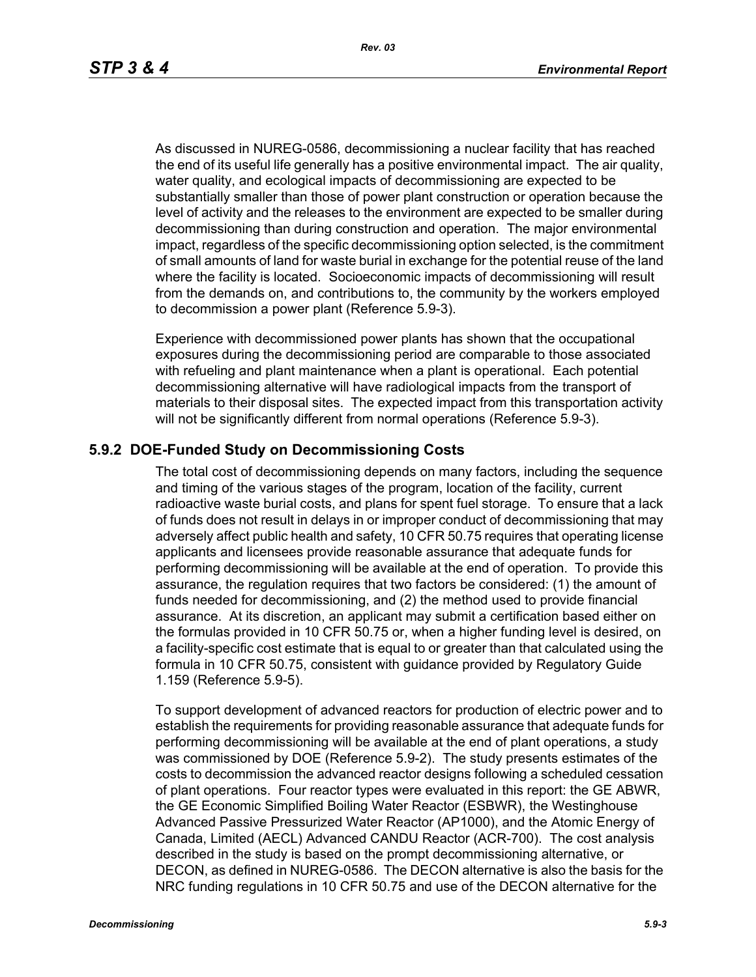As discussed in NUREG-0586, decommissioning a nuclear facility that has reached the end of its useful life generally has a positive environmental impact. The air quality, water quality, and ecological impacts of decommissioning are expected to be substantially smaller than those of power plant construction or operation because the level of activity and the releases to the environment are expected to be smaller during decommissioning than during construction and operation. The major environmental impact, regardless of the specific decommissioning option selected, is the commitment of small amounts of land for waste burial in exchange for the potential reuse of the land where the facility is located. Socioeconomic impacts of decommissioning will result from the demands on, and contributions to, the community by the workers employed to decommission a power plant (Reference 5.9-3).

Experience with decommissioned power plants has shown that the occupational exposures during the decommissioning period are comparable to those associated with refueling and plant maintenance when a plant is operational. Each potential decommissioning alternative will have radiological impacts from the transport of materials to their disposal sites. The expected impact from this transportation activity will not be significantly different from normal operations (Reference 5.9-3).

#### **5.9.2 DOE-Funded Study on Decommissioning Costs**

The total cost of decommissioning depends on many factors, including the sequence and timing of the various stages of the program, location of the facility, current radioactive waste burial costs, and plans for spent fuel storage. To ensure that a lack of funds does not result in delays in or improper conduct of decommissioning that may adversely affect public health and safety, 10 CFR 50.75 requires that operating license applicants and licensees provide reasonable assurance that adequate funds for performing decommissioning will be available at the end of operation. To provide this assurance, the regulation requires that two factors be considered: (1) the amount of funds needed for decommissioning, and (2) the method used to provide financial assurance. At its discretion, an applicant may submit a certification based either on the formulas provided in 10 CFR 50.75 or, when a higher funding level is desired, on a facility-specific cost estimate that is equal to or greater than that calculated using the formula in 10 CFR 50.75, consistent with guidance provided by Regulatory Guide 1.159 (Reference 5.9-5).

To support development of advanced reactors for production of electric power and to establish the requirements for providing reasonable assurance that adequate funds for performing decommissioning will be available at the end of plant operations, a study was commissioned by DOE (Reference 5.9-2). The study presents estimates of the costs to decommission the advanced reactor designs following a scheduled cessation of plant operations. Four reactor types were evaluated in this report: the GE ABWR, the GE Economic Simplified Boiling Water Reactor (ESBWR), the Westinghouse Advanced Passive Pressurized Water Reactor (AP1000), and the Atomic Energy of Canada, Limited (AECL) Advanced CANDU Reactor (ACR-700). The cost analysis described in the study is based on the prompt decommissioning alternative, or DECON, as defined in NUREG-0586. The DECON alternative is also the basis for the NRC funding regulations in 10 CFR 50.75 and use of the DECON alternative for the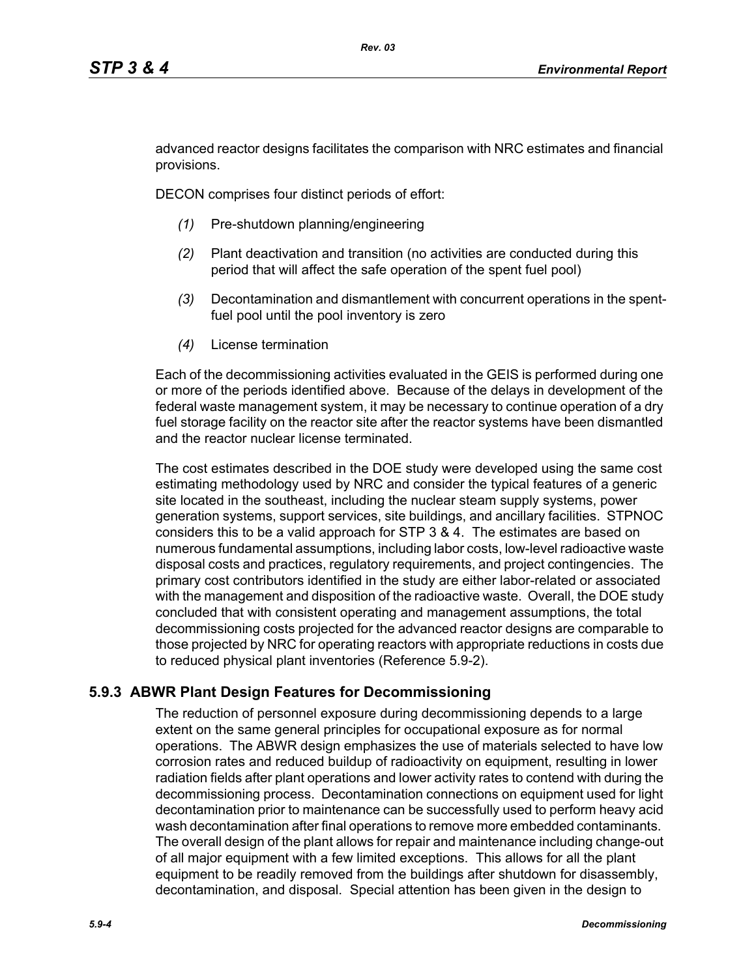advanced reactor designs facilitates the comparison with NRC estimates and financial provisions.

DECON comprises four distinct periods of effort:

- *(1)* Pre-shutdown planning/engineering
- *(2)* Plant deactivation and transition (no activities are conducted during this period that will affect the safe operation of the spent fuel pool)
- *(3)* Decontamination and dismantlement with concurrent operations in the spentfuel pool until the pool inventory is zero
- *(4)* License termination

Each of the decommissioning activities evaluated in the GEIS is performed during one or more of the periods identified above. Because of the delays in development of the federal waste management system, it may be necessary to continue operation of a dry fuel storage facility on the reactor site after the reactor systems have been dismantled and the reactor nuclear license terminated.

The cost estimates described in the DOE study were developed using the same cost estimating methodology used by NRC and consider the typical features of a generic site located in the southeast, including the nuclear steam supply systems, power generation systems, support services, site buildings, and ancillary facilities. STPNOC considers this to be a valid approach for STP 3 & 4. The estimates are based on numerous fundamental assumptions, including labor costs, low-level radioactive waste disposal costs and practices, regulatory requirements, and project contingencies. The primary cost contributors identified in the study are either labor-related or associated with the management and disposition of the radioactive waste. Overall, the DOE study concluded that with consistent operating and management assumptions, the total decommissioning costs projected for the advanced reactor designs are comparable to those projected by NRC for operating reactors with appropriate reductions in costs due to reduced physical plant inventories (Reference 5.9-2).

# **5.9.3 ABWR Plant Design Features for Decommissioning**

The reduction of personnel exposure during decommissioning depends to a large extent on the same general principles for occupational exposure as for normal operations. The ABWR design emphasizes the use of materials selected to have low corrosion rates and reduced buildup of radioactivity on equipment, resulting in lower radiation fields after plant operations and lower activity rates to contend with during the decommissioning process. Decontamination connections on equipment used for light decontamination prior to maintenance can be successfully used to perform heavy acid wash decontamination after final operations to remove more embedded contaminants. The overall design of the plant allows for repair and maintenance including change-out of all major equipment with a few limited exceptions. This allows for all the plant equipment to be readily removed from the buildings after shutdown for disassembly, decontamination, and disposal. Special attention has been given in the design to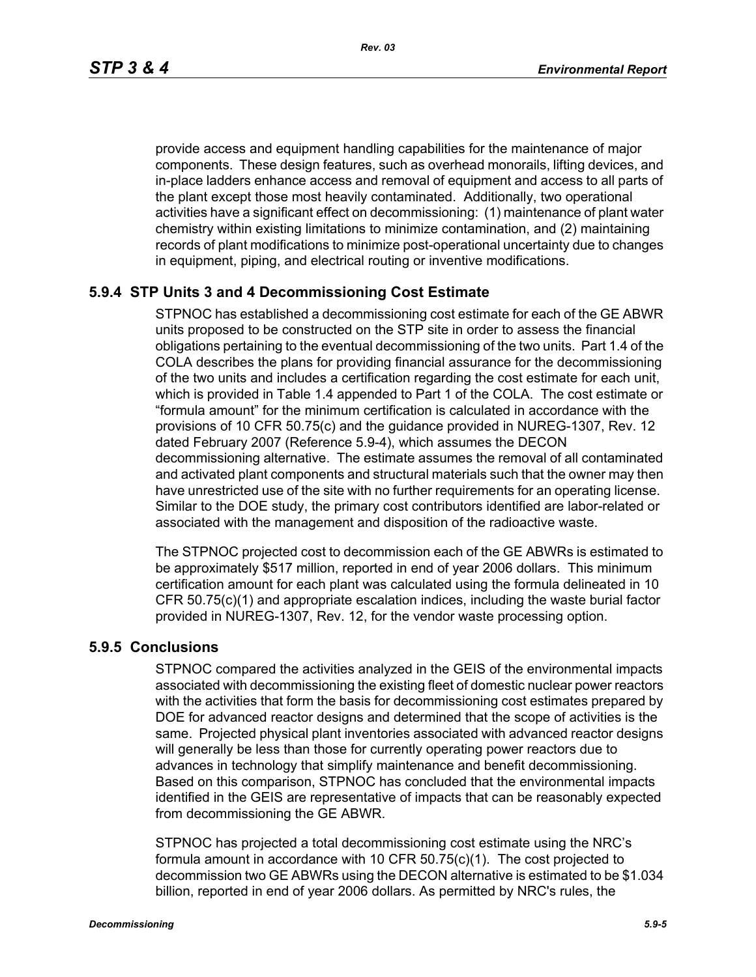*Rev. 03*

provide access and equipment handling capabilities for the maintenance of major components. These design features, such as overhead monorails, lifting devices, and in-place ladders enhance access and removal of equipment and access to all parts of the plant except those most heavily contaminated. Additionally, two operational activities have a significant effect on decommissioning: (1) maintenance of plant water chemistry within existing limitations to minimize contamination, and (2) maintaining records of plant modifications to minimize post-operational uncertainty due to changes in equipment, piping, and electrical routing or inventive modifications.

# **5.9.4 STP Units 3 and 4 Decommissioning Cost Estimate**

STPNOC has established a decommissioning cost estimate for each of the GE ABWR units proposed to be constructed on the STP site in order to assess the financial obligations pertaining to the eventual decommissioning of the two units. Part 1.4 of the COLA describes the plans for providing financial assurance for the decommissioning of the two units and includes a certification regarding the cost estimate for each unit, which is provided in Table 1.4 appended to Part 1 of the COLA. The cost estimate or "formula amount" for the minimum certification is calculated in accordance with the provisions of 10 CFR 50.75(c) and the guidance provided in NUREG-1307, Rev. 12 dated February 2007 (Reference 5.9-4), which assumes the DECON decommissioning alternative. The estimate assumes the removal of all contaminated and activated plant components and structural materials such that the owner may then have unrestricted use of the site with no further requirements for an operating license. Similar to the DOE study, the primary cost contributors identified are labor-related or associated with the management and disposition of the radioactive waste.

The STPNOC projected cost to decommission each of the GE ABWRs is estimated to be approximately \$517 million, reported in end of year 2006 dollars. This minimum certification amount for each plant was calculated using the formula delineated in 10 CFR 50.75(c)(1) and appropriate escalation indices, including the waste burial factor provided in NUREG-1307, Rev. 12, for the vendor waste processing option.

# **5.9.5 Conclusions**

STPNOC compared the activities analyzed in the GEIS of the environmental impacts associated with decommissioning the existing fleet of domestic nuclear power reactors with the activities that form the basis for decommissioning cost estimates prepared by DOE for advanced reactor designs and determined that the scope of activities is the same. Projected physical plant inventories associated with advanced reactor designs will generally be less than those for currently operating power reactors due to advances in technology that simplify maintenance and benefit decommissioning. Based on this comparison, STPNOC has concluded that the environmental impacts identified in the GEIS are representative of impacts that can be reasonably expected from decommissioning the GE ABWR.

STPNOC has projected a total decommissioning cost estimate using the NRC's formula amount in accordance with 10 CFR 50.75(c)(1). The cost projected to decommission two GE ABWRs using the DECON alternative is estimated to be \$1.034 billion, reported in end of year 2006 dollars. As permitted by NRC's rules, the